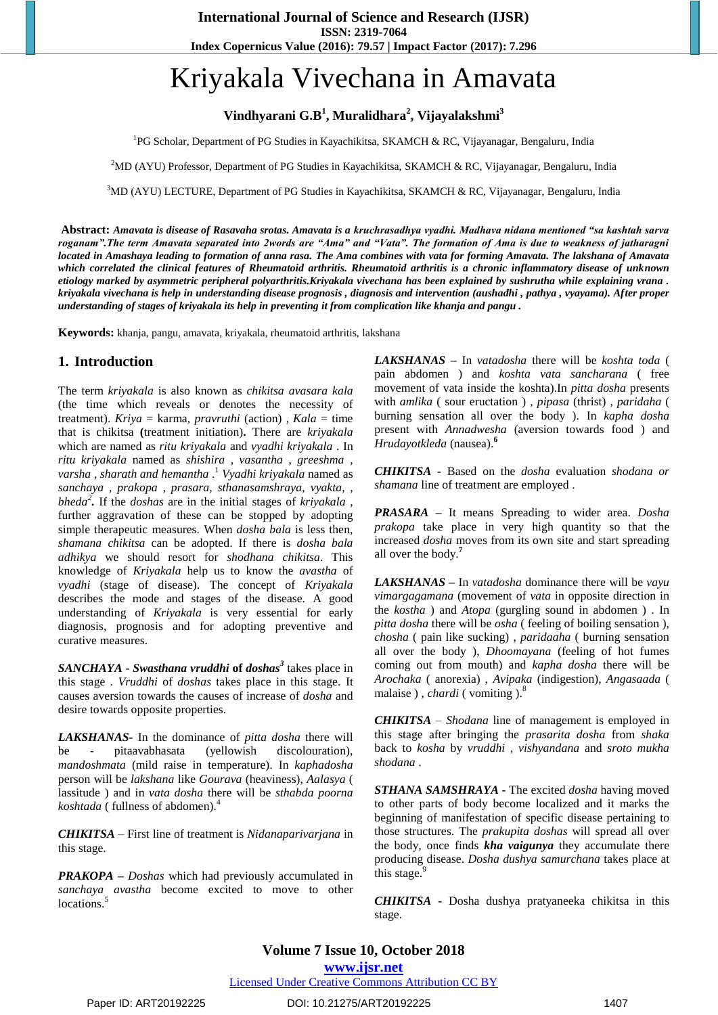# Kriyakala Vivechana in Amavata

# **Vindhyarani G.B 1 , Muralidhara<sup>2</sup> , Vijayalakshmi<sup>3</sup>**

<sup>1</sup>PG Scholar, Department of PG Studies in Kayachikitsa, SKAMCH & RC, Vijayanagar, Bengaluru, India

<sup>2</sup>MD (AYU) Professor, Department of PG Studies in Kayachikitsa, SKAMCH & RC, Vijayanagar, Bengaluru, India

<sup>3</sup>MD (AYU) LECTURE, Department of PG Studies in Kayachikitsa, SKAMCH & RC, Vijayanagar, Bengaluru, India

**Abstract:** *Amavata is disease of Rasavaha srotas. Amavata is a kruchrasadhya vyadhi. Madhava nidana mentioned "sa kashtah sarva roganam".The term Amavata separated into 2words are "Ama" and "Vata". The formation of Ama is due to weakness of jatharagni located in Amashaya leading to formation of anna rasa. The Ama combines with vata for forming Amavata. The lakshana of Amavata which correlated the clinical features of Rheumatoid arthritis. Rheumatoid arthritis is a chronic inflammatory disease of unknown etiology marked by asymmetric peripheral polyarthritis.Kriyakala vivechana has been explained by sushrutha while explaining vrana . kriyakala vivechana is help in understanding disease prognosis , diagnosis and intervention (aushadhi , pathya , vyayama). After proper understanding of stages of kriyakala its help in preventing it from complication like khanja and pangu .*

**Keywords:** khanja, pangu, amavata, kriyakala, rheumatoid arthritis, lakshana

# **1. Introduction**

The term *kriyakala* is also known as *chikitsa avasara kala* (the time which reveals or denotes the necessity of treatment). *Kriya* = karma, *pravruthi* (action) , *Kala* = time that is chikitsa **(**treatment initiation)**.** There are *kriyakala* which are named as *ritu kriyakala* and *vyadhi kriyakala* . In *ritu kriyakala* named as *shishira , vasantha* , *greeshma , varsha , sharath and hemantha* . 1 *Vyadhi kriyakala* named as *sanchaya , prakopa , prasara, sthanasamshraya, vyakta, , bheda<sup>2</sup> .* If the *doshas* are in the initial stages of *kriyakala ,* further aggravation of these can be stopped by adopting simple therapeutic measures. When *dosha bala* is less then, *shamana chikitsa* can be adopted. If there is *dosha bala adhikya* we should resort for *shodhana chikitsa*. This knowledge of *Kriyakala* help us to know the *avastha* of *vyadhi* (stage of disease). The concept of *Kriyakala* describes the mode and stages of the disease. A good understanding of *Kriyakala* is very essential for early diagnosis, prognosis and for adopting preventive and curative measures.

*SANCHAYA* **-** *Swasthana vruddhi* **of** *doshas<sup>3</sup>* takes place in this stage . *Vruddhi* of *doshas* takes place in this stage. It causes aversion towards the causes of increase of *dosha* and desire towards opposite properties.

*LAKSHANAS***-** In the dominance of *pitta dosha* there will be - pitaavabhasata (yellowish discolouration), *mandoshmata* (mild raise in temperature). In *kaphadosha* person will be *lakshana* like *Gourava* (heaviness), *Aalasya* ( lassitude ) and in *vata dosha* there will be *sthabda poorna koshtada* ( fullness of abdomen).<sup>4</sup>

*CHIKITSA* – First line of treatment is *Nidanaparivarjana* in this stage.

*PRAKOPA* **–** *Doshas* which had previously accumulated in *sanchaya avastha* become excited to move to other locations.<sup>5</sup>

*LAKSHANAS* **–** In *vatadosha* there will be *koshta toda* ( pain abdomen ) and *koshta vata sancharana* ( free movement of vata inside the koshta).In *pitta dosha* presents with *amlika* ( sour eructation ) , *pipasa* (thrist) , *paridaha* ( burning sensation all over the body ). In *kapha dosha* present with *Annadwesha* (aversion towards food ) and *Hrudayotkleda* (nausea).**<sup>6</sup>**

*CHIKITSA* **-** Based on the *dosha* evaluation *shodana or shamana* line of treatment are employed .

*PRASARA* **–** It means Spreading to wider area. *Dosha prakopa* take place in very high quantity so that the increased *dosha* moves from its own site and start spreading all over the body.**<sup>7</sup>**

*LAKSHANAS* **–** In *vatadosha* dominance there will be *vayu vimargagamana* (movement of *vata* in opposite direction in the *kostha* ) and *Atopa* (gurgling sound in abdomen ) . In *pitta dosha* there will be *osha* ( feeling of boiling sensation ), *chosha* ( pain like sucking) , *paridaaha* ( burning sensation all over the body ), *Dhoomayana* (feeling of hot fumes coming out from mouth) and *kapha dosha* there will be *Arochaka* ( anorexia) , *Avipaka* (indigestion), *Angasaada* ( malaise), *chardi* (vomiting).<sup>8</sup>

*CHIKITSA* – *Shodana* line of management is employed in this stage after bringing the *prasarita dosha* from *shaka* back to *kosha* by *vruddhi* , *vishyandana* and *sroto mukha shodana* .

*STHANA SAMSHRAYA* **-** The excited *dosha* having moved to other parts of body become localized and it marks the beginning of manifestation of specific disease pertaining to those structures. The *prakupita doshas* will spread all over the body, once finds *kha vaigunya* they accumulate there producing disease. *Dosha dushya samurchana* takes place at this stage. $9$ 

*CHIKITSA* **-** Dosha dushya pratyaneeka chikitsa in this stage.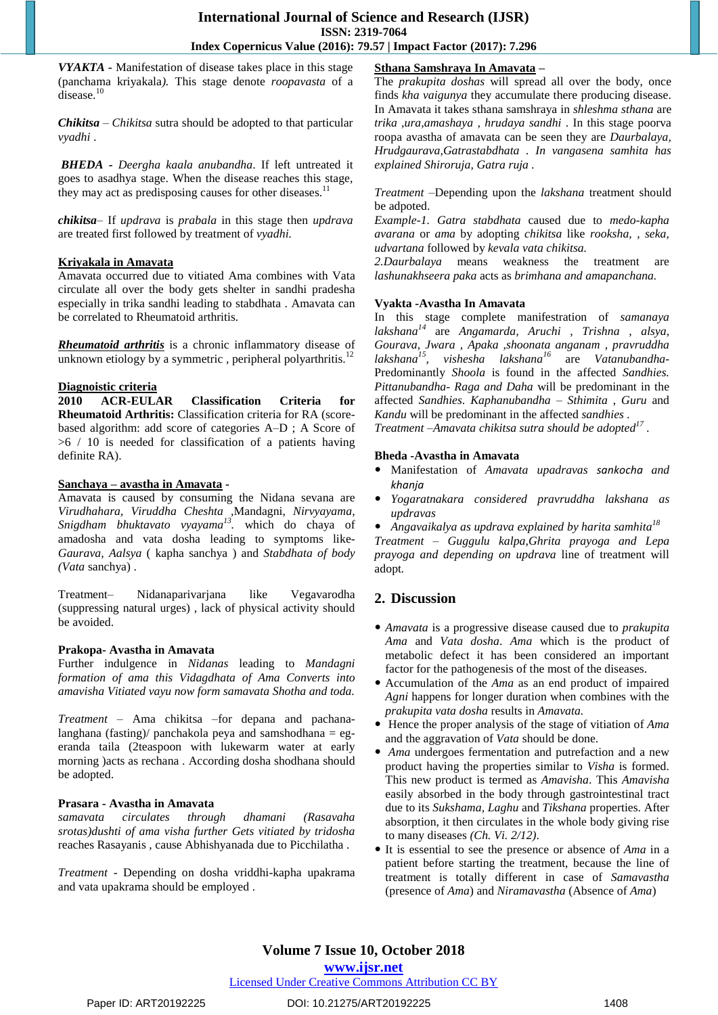*VYAKTA* **-** Manifestation of disease takes place in this stage (panchama kriyakala*).* This stage denote *roopavasta* of a disease.<sup>10</sup>

*Chikitsa – Chikitsa* sutra should be adopted to that particular *vyadhi* .

*BHEDA - Deergha kaala anubandha*. If left untreated it goes to asadhya stage. When the disease reaches this stage, they may act as predisposing causes for other diseases.<sup>11</sup>

*chikitsa*– If *updrava* is *prabala* in this stage then *updrava* are treated first followed by treatment of *vyadhi.*

#### **Kriyakala in Amavata**

Amavata occurred due to vitiated Ama combines with Vata circulate all over the body gets shelter in sandhi pradesha especially in trika sandhi leading to stabdhata . Amavata can be correlated to Rheumatoid arthritis.

*Rheumatoid arthritis* is a chronic inflammatory disease of unknown etiology by a symmetric, peripheral polyarthritis.<sup>12</sup>

## **Diagnoistic criteria**

**2010 ACR-EULAR Classification Criteria for Rheumatoid Arthritis:** Classification criteria for RA (scorebased algorithm: add score of categories A–D ; A Score of  $>6/10$  is needed for classification of a patients having definite RA).

## **Sanchaya – avastha in Amavata -**

Amavata is caused by consuming the Nidana sevana are *Virudhahara, Viruddha Cheshta ,*Mandagni, *Nirvyayama, Snigdham bhuktavato vyayama 13 .* which do chaya of amadosha and vata dosha leading to symptoms like-*Gaurava, Aalsya* ( kapha sanchya ) and *Stabdhata of body (Vata* sanchya) .

Treatment– Nidanaparivarjana like Vegavarodha (suppressing natural urges) , lack of physical activity should be avoided.

#### **Prakopa- Avastha in Amavata**

Further indulgence in *Nidanas* leading to *Mandagni formation of ama this Vidagdhata of Ama Converts into amavisha Vitiated vayu now form samavata Shotha and toda.*

*Treatment –* Ama chikitsa –for depana and pachanalanghana (fasting)/ panchakola peya and samshodhana  $=$  egeranda taila (2teaspoon with lukewarm water at early morning )acts as rechana . According dosha shodhana should be adopted.

## **Prasara - Avastha in Amavata**

*samavata circulates through dhamani (Rasavaha srotas)dushti of ama visha further Gets vitiated by tridosha* reaches Rasayanis , cause Abhishyanada due to Picchilatha .

*Treatment* - Depending on dosha vriddhi-kapha upakrama and vata upakrama should be employed .

## **Sthana Samshraya In Amavata –**

The *prakupita doshas* will spread all over the body, once finds *kha vaigunya* they accumulate there producing disease. In Amavata it takes sthana samshraya in *shleshma sthana* are *trika ,ura,amashaya , hrudaya sandhi* . In this stage poorva roopa avastha of amavata can be seen they are *Daurbalaya, Hrudgaurava,Gatrastabdhata . In vangasena samhita has explained Shiroruja, Gatra ruja .*

*Treatment –*Depending upon the *lakshana* treatment should be adpoted.

*Example-1. Gatra stabdhata* caused due to *medo-kapha avarana* or *ama* by adopting *chikitsa* like *rooksha, , seka, udvartana* followed by *kevala vata chikitsa.*

*2.Daurbalaya* means weakness the treatment are *lashunakhseera paka* acts as *brimhana and amapanchana.*

## **Vyakta -Avastha In Amavata**

In this stage complete manifestration of *samanaya lakshana<sup>14</sup>* are *Angamarda, Aruchi , Trishna , alsya, Gourava, Jwara , Apaka ,shoonata anganam* , *pravruddha lakshana<sup>15</sup>* , *vishesha lakshana<sup>16</sup>* are *Vatanubandha*-Predominantly *Shoola* is found in the affected *Sandhies. Pittanubandha*- *Raga and Daha* will be predominant in the affected *Sandhies*. *Kaphanubandha* – *Sthimita* , *Guru* and *Kandu* will be predominant in the affected *sandhies .*

*Treatment –Amavata chikitsa sutra should be adopted<sup>17</sup> .*

## **Bheda -Avastha in Amavata**

- Manifestation of *Amavata upadravas sankocha and khanja*
- *Yogaratnakara considered pravruddha lakshana as updravas*
- *Angavaikalya as updrava explained by harita samhita<sup>18</sup>*

*Treatment – Guggulu kalpa,Ghrita prayoga and Lepa prayoga and depending on updrava* line of treatment will adopt*.*

# **2. Discussion**

- *Amavata* is a progressive disease caused due to *prakupita Ama* and *Vata dosha*. *Ama* which is the product of metabolic defect it has been considered an important factor for the pathogenesis of the most of the diseases.
- Accumulation of the *Ama* as an end product of impaired *Agni* happens for longer duration when combines with the *prakupita vata dosha* results in *Amavata.*
- Hence the proper analysis of the stage of vitiation of *Ama* and the aggravation of *Vata* should be done.
- *Ama* undergoes fermentation and putrefaction and a new product having the properties similar to *Visha* is formed. This new product is termed as *Amavisha*. This *Amavisha* easily absorbed in the body through gastrointestinal tract due to its *Sukshama, Laghu* and *Tikshana* properties. After absorption, it then circulates in the whole body giving rise to many diseases *(Ch. Vi. 2/12)*.
- It is essential to see the presence or absence of *Ama* in a patient before starting the treatment, because the line of treatment is totally different in case of *Samavastha* (presence of *Ama*) and *Niramavastha* (Absence of *Ama*)

## [Licensed Under Creative Commons Attribution CC BY](http://creativecommons.org/licenses/by/4.0/)